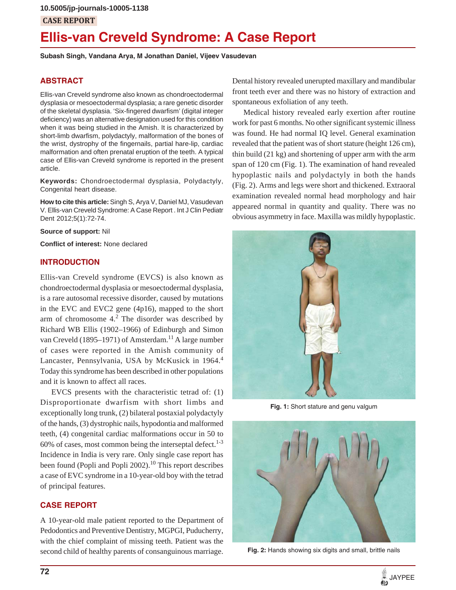# **CASE REPORT**

# **Ellis-van Creveld Syndrome: A Case Report**

**Subash Singh, Vandana Arya, M Jonathan Daniel, Vijeev Vasudevan**

#### **ABSTRACT**

Ellis-van Creveld syndrome also known as chondroectodermal dysplasia or mesoectodermal dysplasia; a rare genetic disorder of the skeletal dysplasia. 'Six-fingered dwarfism' (digital integer deficiency) was an alternative designation used for this condition when it was being studied in the Amish. It is characterized by short-limb dwarfism, polydactyly, malformation of the bones of the wrist, dystrophy of the fingernails, partial hare-lip, cardiac malformation and often prenatal eruption of the teeth. A typical case of Ellis-van Creveld syndrome is reported in the present article.

**Keywords:** Chondroectodermal dysplasia, Polydactyly, Congenital heart disease.

**How to cite this article:** Singh S, Arya V, Daniel MJ, Vasudevan V. Ellis-van Creveld Syndrome: A Case Report . Int J Clin Pediatr Dent 2012;5(1):72-74.

**Source of support:** Nil

**Conflict of interest:** None declared

#### **INTRODUCTION**

Ellis-van Creveld syndrome (EVCS) is also known as chondroectodermal dysplasia or mesoectodermal dysplasia, is a rare autosomal recessive disorder, caused by mutations in the EVC and EVC2 gene (4p16), mapped to the short arm of chromosome  $4<sup>2</sup>$ . The disorder was described by Richard WB Ellis (1902–1966) of Edinburgh and Simon van Creveld (1895–1971) of Amsterdam.<sup>11</sup> A large number of cases were reported in the Amish community of Lancaster, Pennsylvania, USA by McKusick in 1964.<sup>4</sup> Today this syndrome has been described in other populations and it is known to affect all races.

EVCS presents with the characteristic tetrad of: (1) Disproportionate dwarfism with short limbs and exceptionally long trunk, (2) bilateral postaxial polydactyly of the hands, (3) dystrophic nails, hypodontia and malformed teeth, (4) congenital cardiac malformations occur in 50 to 60% of cases, most common being the interseptal defect. $1-3$ Incidence in India is very rare. Only single case report has been found (Popli and Popli 2002).<sup>10</sup> This report describes a case of EVC syndrome in a 10-year-old boy with the tetrad of principal features.

#### **CASE REPORT**

A 10-year-old male patient reported to the Department of Pedodontics and Preventive Dentistry, MGPGI, Puducherry, with the chief complaint of missing teeth. Patient was the second child of healthy parents of consanguinous marriage.

Dental history revealed unerupted maxillary and mandibular front teeth ever and there was no history of extraction and spontaneous exfoliation of any teeth.

Medical history revealed early exertion after routine work for past 6 months. No other significant systemic illness was found. He had normal IQ level. General examination revealed that the patient was of short stature (height 126 cm), thin build (21 kg) and shortening of upper arm with the arm span of 120 cm (Fig. 1). The examination of hand revealed hypoplastic nails and polydactyly in both the hands (Fig. 2). Arms and legs were short and thickened. Extraoral examination revealed normal head morphology and hair appeared normal in quantity and quality. There was no obvious asymmetry in face. Maxilla was mildly hypoplastic.



**Fig. 1:** Short stature and genu valgum



**Fig. 2:** Hands showing six digits and small, brittle nails

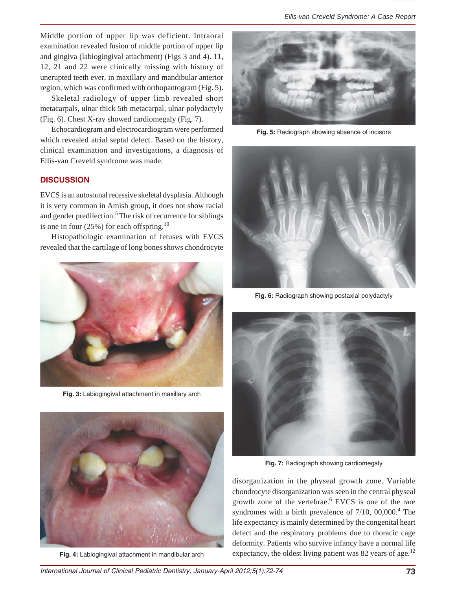Middle portion of upper lip was deficient. Intraoral examination revealed fusion of middle portion of upper lip and gingiva (labiogingival attachment) (Figs 3 and 4). 11, 12, 21 and 22 were clinically missing with history of unerupted teeth ever, in maxillary and mandibular anterior region, which was confirmed with orthopantogram (Fig. 5).

Skeletal radiology of upper limb revealed short metacarpals, ulnar thick 5th metacarpal, ulnar polydactyly (Fig. 6). Chest X-ray showed cardiomegaly (Fig. 7).

Echocardiogram and electrocardiogram were performed which revealed atrial septal defect. Based on the history, clinical examination and investigations, a diagnosis of Ellis-van Creveld syndrome was made.

## **DISCUSSION**

EVCS is an autosomal recessive skeletal dysplasia. Although it is very common in Amish group, it does not show racial and gender predilection.<sup>5</sup> The risk of recurrence for siblings is one in four  $(25%)$  for each offspring.<sup>10</sup>

Histopathologic examination of fetuses with EVCS revealed that the cartilage of long bones shows chondrocyte



**Fig. 3:** Labiogingival attachment in maxillary arch



**Fig. 4:** Labiogingival attachment in mandibular arch



**Fig. 5:** Radiograph showing absence of incisors



**Fig. 6:** Radiograph showing postaxial polydactyly



**Fig. 7:** Radiograph showing cardiomegaly

disorganization in the physeal growth zone. Variable chondrocyte disorganization was seen in the central physeal growth zone of the vertebrae.<sup>6</sup> EVCS is one of the rare syndromes with a birth prevalence of  $7/10$ ,  $00,000$ .<sup>4</sup> The life expectancy is mainly determined by the congenital heart defect and the respiratory problems due to thoracic cage deformity. Patients who survive infancy have a normal life expectancy, the oldest living patient was 82 years of age.<sup>12</sup>